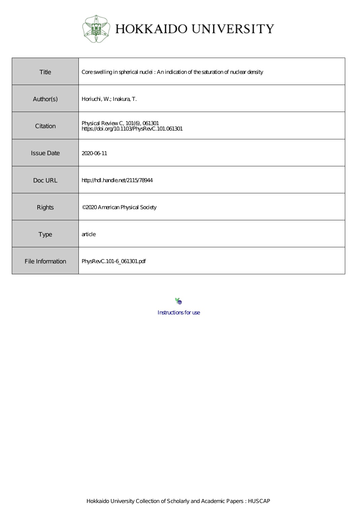

| Title             | Core swelling in spherical nuclei : An indication of the saturation of nuclear density |
|-------------------|----------------------------------------------------------------------------------------|
| Author(s)         | Horiuchi, W.; Inakura, T.                                                              |
| Citation          | Physical Review C, 101(6), 061301<br>https://doi.org/10.1103/PhysRevC.101.061301       |
| <b>Issue Date</b> | 20200611                                                                               |
| Doc URL           | http://hdl.handle.net/2115/78944                                                       |
| Rights            | ©2020 American Physical Society                                                        |
| <b>Type</b>       | article                                                                                |
| File Information  | PhysRevC.101-6_061301.pdf                                                              |

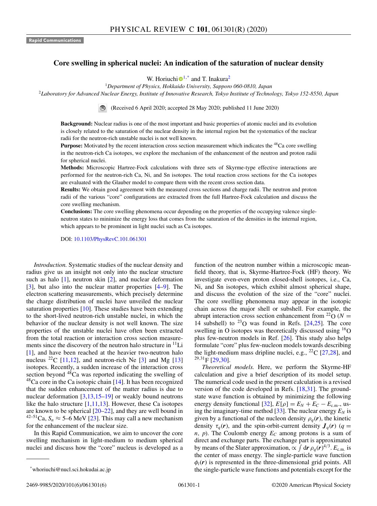## **Core swelling in spherical nuclei: An indication of the saturation of nuclear density**

W. Hor[i](https://orcid.org/0000-0003-0039-3783)uchi $\mathbf{D}^{1,*}$  and T. Inakura<sup>2</sup>

<sup>1</sup>*Department of Physics, Hokkaido University, Sapporo 060-0810, Japan*

<sup>2</sup>*Laboratory for Advanced Nuclear Energy, Institute of Innovative Research, Tokyo Institute of Technology, Tokyo 152-8550, Japan*

(Received 6 April 2020; accepted 28 May 2020; published 11 June 2020)

**Background:** Nuclear radius is one of the most important and basic properties of atomic nuclei and its evolution is closely related to the saturation of the nuclear density in the internal region but the systematics of the nuclear radii for the neutron-rich unstable nuclei is not well known.

**Purpose:** Motivated by the recent interaction cross section measurement which indicates the <sup>48</sup>Ca core swelling in the neutron-rich Ca isotopes, we explore the mechanism of the enhancement of the neutron and proton radii for spherical nuclei.

**Methods:** Microscopic Hartree-Fock calculations with three sets of Skyrme-type effective interactions are performed for the neutron-rich Ca, Ni, and Sn isotopes. The total reaction cross sections for the Ca isotopes are evaluated with the Glauber model to compare them with the recent cross section data.

**Results:** We obtain good agreement with the measured cross sections and charge radii. The neutron and proton radii of the various "core" configurations are extracted from the full Hartree-Fock calculation and discuss the core swelling mechanism.

**Conclusions:** The core swelling phenomena occur depending on the properties of the occupying valence singleneutron states to minimize the energy loss that comes from the saturation of the densities in the internal region, which appears to be prominent in light nuclei such as Ca isotopes.

DOI: [10.1103/PhysRevC.101.061301](https://doi.org/10.1103/PhysRevC.101.061301)

*Introduction.* Systematic studies of the nuclear density and radius give us an insight not only into the nuclear structure such as halo [\[1\]](#page-5-0), neutron skin [\[2\]](#page-5-0), and nuclear deformation [\[3\]](#page-5-0), but also into the nuclear matter properties [\[4–9\]](#page-5-0). The electron scattering measurements, which precisely determine the charge distribution of nuclei have unveiled the nuclear saturation properties [\[10\]](#page-5-0). These studies have been extending to the short-lived neutron-rich unstable nuclei, in which the behavior of the nuclear density is not well known. The size properties of the unstable nuclei have often been extracted from the total reaction or interaction cross section measurements since the discovery of the neutron halo structure in  $\rm^{11}Li$ [\[1\]](#page-5-0), and have been reached at the heavier two-neutron halo nucleus  $^{22}C$  [\[11,12\]](#page-5-0), and neutron-rich Ne [\[3\]](#page-5-0) and Mg [\[13\]](#page-5-0) isotopes. Recently, a sudden increase of the interaction cross section beyond  $48$ Ca was reported indicating the swelling of  $^{48}$ Ca core in the Ca isotopic chain [\[14\]](#page-5-0). It has been recognized that the sudden enhancement of the matter radius is due to nuclear deformation  $[3,13,15-19]$  $[3,13,15-19]$  or weakly bound neutrons like the halo structure  $[1,11,13]$ . However, these Ca isotopes are known to be spherical [\[20–22\]](#page-6-0), and they are well bound in <sup>42–51</sup>Ca,  $S_n \approx 5-\overline{6}$  MeV [\[23\]](#page-6-0). This may call a new mechanism for the enhancement of the nuclear size.

In this Rapid Communication, we aim to uncover the core swelling mechanism in light-medium to medium spherical nuclei and discuss how the "core" nucleus is developed as a function of the neutron number within a microscopic meanfield theory, that is, Skyrme-Hartree-Fock (HF) theory. We investigate even-even proton closed-shell isotopes, i.e., Ca, Ni, and Sn isotopes, which exhibit almost spherical shape, and discuss the evolution of the size of the "core" nuclei. The core swelling phenomena may appear in the isotopic chain across the major shell or subshell. For example, the abrupt interaction cross section enhancement from <sup>22</sup>O ( $N =$ 14 subshell) to  $^{23}$ O was found in Refs. [\[24,25\]](#page-6-0). The core swelling in O isotopes was theoretically discussed using  ${}^{16}O$ plus few-neutron models in Ref. [\[26\]](#page-6-0). This study also helps formulate "core" plus few-nucleon models towards describing the light-medium mass dripline nuclei, e.g.,  $^{22}C$  [\[27,28\]](#page-6-0), and  $^{29,31}$ F [\[29,30\]](#page-6-0).

*Theoretical models.* Here, we perform the Skyrme-HF calculation and give a brief description of its model setup. The numerical code used in the present calculation is a revised version of the code developed in Refs. [\[18,31\]](#page-6-0). The groundstate wave function is obtained by minimizing the following energy density functional [\[32\]](#page-6-0),  $E[\rho] = E_N + E_C - E_{c.m.}$ , using the imaginary-time method  $[33]$ . The nuclear energy  $E_N$  is given by a functional of the nucleon density  $\rho_q(\mathbf{r})$ , the kinetic density  $\tau_q(\mathbf{r})$ , and the spin-orbit-current density  $J_q(\mathbf{r})$  ( $q =$  $n$ ,  $p$ ). The Coulomb energy  $E_C$  among protons is a sum of direct and exchange parts. The exchange part is approximated by means of the Slater approximation,  $\propto \int d\mathbf{r} \rho_q(\mathbf{r})^{4/3}$ .  $E_{\text{c.m.}}$  is the center of mass energy. The single-particle wave function  $\phi_i(\mathbf{r})$  is represented in the three-dimensional grid points. All the single-particle wave functions and potentials except for the

<sup>\*</sup>whoriuchi@nucl.sci.hokudai.ac.jp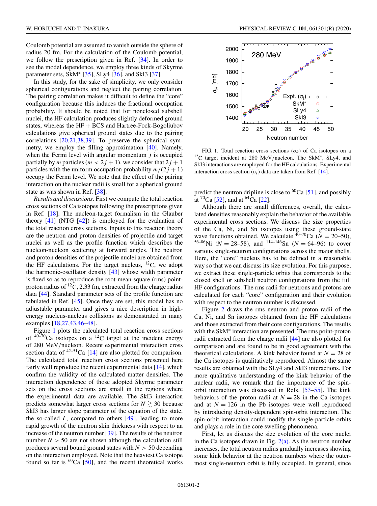Coulomb potential are assumed to vanish outside the sphere of radius 20 fm. For the calculation of the Coulomb potential, we follow the prescription given in Ref. [\[34\]](#page-6-0). In order to see the model dependence, we employ three kinds of Skyrme parameter sets, SkM<sup>∗</sup> [\[35\]](#page-6-0), SLy4 [\[36\]](#page-6-0), and SkI3 [\[37\]](#page-6-0).

In this study, for the sake of simplicity, we only consider spherical configurations and neglect the pairing correlation. The pairing correlation makes it difficult to define the "core" configuration because this induces the fractional occupation probability. It should be noted that for nonclosed subshell nuclei, the HF calculation produces slightly deformed ground states, whereas the  $HF + BCS$  and Hartree-Fock-Bogoliubov calculations give spherical ground states due to the pairing correlations [\[20,21,38,39\]](#page-6-0). To preserve the spherical symmetry, we employ the filling approximation [\[40\]](#page-6-0). Namely, when the Fermi level with angular momentum *j* is occupied partially by *m* particles ( $m < 2j + 1$ ), we consider that  $2j + 1$ particles with the uniform occupation probability  $m/(2 j + 1)$ occupy the Fermi level. We note that the effect of the pairing interaction on the nuclear radii is small for a spherical ground state as was shown in Ref. [\[38\]](#page-6-0).

*Results and discussions.* First we compute the total reaction cross sections of Ca isotopes following the prescriptions given in Ref. [\[18\]](#page-6-0). The nucleon-target formalism in the Glauber theory  $[41]$  (NTG  $[42]$ ) is employed for the evaluation of the total reaction cross sections. Inputs to this reaction theory are the neutron and proton densities of projectile and target nuclei as well as the profile function which describes the nucleon-nucleon scattering at forward angles. The neutron and proton densities of the projectile nuclei are obtained from the HF calculations. For the target nucleus,  $^{12}C$ , we adopt the harmonic-oscillator density [\[43\]](#page-6-0) whose width parameter is fixed so as to reproduce the root-mean-square (rms) pointproton radius of  ${}^{12}C$ , 2.33 fm, extracted from the charge radius data [\[44\]](#page-6-0). Standard parameter sets of the profile function are tabulated in Ref. [\[45\]](#page-6-0). Once they are set, this model has no adjustable parameter and gives a nice description in highenergy nucleus-nucleus collisions as demonstrated in many examples [\[18,27,43,46–48\]](#page-6-0).

Figure 1 plots the calculated total reaction cross sections of  $40-70$ Ca isotopes on a  $12$ C target at the incident energy of 280 MeV/nucleon. Recent experimental interaction cross section data of  $42-51$ Ca [\[14\]](#page-5-0) are also plotted for comparison. The calculated total reaction cross sections presented here fairly well reproduce the recent experimental data  $[14]$ , which confirm the validity of the calculated matter densities. The interaction dependence of those adopted Skyrme parameter sets on the cross sections are small in the regions where the experimental data are available. The SkI3 interaction predicts somewhat larger cross sections for  $N \gtrsim 30$  because SkI3 has larger slope parameter of the equation of the state, the so-called *L*, compared to others [\[49\]](#page-6-0), leading to more rapid growth of the neutron skin thickness with respect to an increase of the neutron number [\[39\]](#page-6-0). The results of the neutron number  $N > 50$  are not shown although the calculation still produces several bound ground states with  $N > 50$  depending on the interaction employed. Note that the heaviest Ca isotope found so far is  ${}^{60}Ca$  [\[50\]](#page-6-0), and the recent theoretical works



FIG. 1. Total reaction cross sections  $(\sigma_R)$  of Ca isotopes on a <sup>12</sup>C target incident at 280 MeV/nucleon. The SkM<sup>\*</sup>, SLy4, and SkI3 interactions are employed for the HF calculations. Experimental interaction cross section ( $\sigma$ <sup>*I*</sup>) data are taken from Ref. [\[14\]](#page-5-0).

predict the neutron dripline is close to <sup>60</sup>Ca [\[51\]](#page-6-0), and possibly at  ${}^{70}Ca$  [\[52\]](#page-6-0), and at  ${}^{64}Ca$  [\[22\]](#page-6-0).

Although there are small differences, overall, the calculated densities reasonably explain the behavior of the available experimental cross sections. We discuss the size properties of the Ca, Ni, and Sn isotopes using these ground-state wave functions obtained. We calculate  $40-70$ Ca ( $N = 20-50$ ), <sup>56–86</sup>Ni ( $N = 28$ –58), and <sup>114–146</sup>Sn ( $N = 64$ –96) to cover various single-neutron configurations across the major shells. Here, the "core" nucleus has to be defined in a reasonable way so that we can discuss its size evolution. For this purpose, we extract these single-particle orbits that corresponds to the closed shell or subshell neutron configurations from the full HF configurations. The rms radii for neutrons and protons are calculated for each "core" configuration and their evolution with respect to the neutron number is discussed.

Figure [2](#page-3-0) draws the rms neutron and proton radii of the Ca, Ni, and Sn isotopes obtained from the HF calculations and those extracted from their core configurations. The results with the SkM<sup>∗</sup> interaction are presented. The rms point-proton radii extracted from the charge radii [\[44\]](#page-6-0) are also plotted for comparison and are found to be in good agreement with the theoretical calculations. A kink behavior found at  $N = 28$  of the Ca isotopes is qualitatively reproduced. Almost the same results are obtained with the SLy4 and SkI3 interactions. For more qualitative understanding of the kink behavior of the nuclear radii, we remark that the importance of the spinorbit interaction was discussed in Refs. [\[53–55\]](#page-6-0). The kink behaviors of the proton radii at  $N = 28$  in the Ca isotopes and at  $N = 126$  in the Pb isotopes were well reproduced by introducing density-dependent spin-orbit interaction. The spin-orbit interaction could modify the single-particle orbits and plays a role in the core swelling phenomena.

First, let us discuss the size evolution of the core nuclei in the Ca isotopes drawn in Fig.  $2(a)$ . As the neutron number increases, the total neutron radius gradually increases showing some kink behavior at the neutron numbers where the outermost single-neutron orbit is fully occupied. In general, since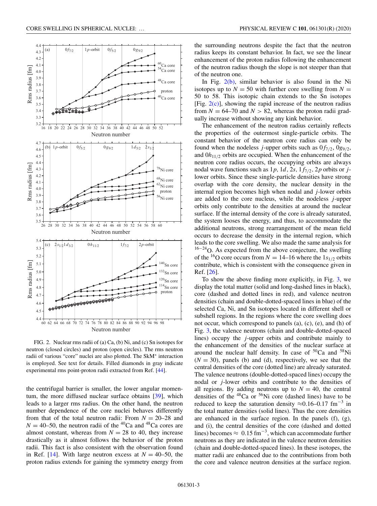<span id="page-3-0"></span>

FIG. 2. Nuclear rms radii of (a) Ca, (b) Ni, and (c) Sn isotopes for neutron (closed circles) and proton (open circles). The rms neutron radii of various "core" nuclei are also plotted. The SkM<sup>∗</sup> interaction is employed. See text for details. Filled diamonds in gray indicate experimental rms point-proton radii extracted from Ref. [\[44\]](#page-6-0).

the centrifugal barrier is smaller, the lower angular momentum, the more diffused nuclear surface obtains [\[39\]](#page-6-0), which leads to a larger rms radius. On the other hand, the neutron number dependence of the core nuclei behaves differently from that of the total neutron radii: From  $N = 20-28$  and  $N = 40-50$ , the neutron radii of the <sup>40</sup>Ca and <sup>48</sup>Ca cores are almost constant, whereas from  $N = 28$  to 40, they increase drastically as it almost follows the behavior of the proton radii. This fact is also consistent with the observation found in Ref. [\[14\]](#page-5-0). With large neutron excess at  $N = 40-50$ , the proton radius extends for gaining the symmetry energy from

the surrounding neutrons despite the fact that the neutron radius keeps its constant behavior. In fact, we see the linear enhancement of the proton radius following the enhancement of the neutron radius though the slope is not steeper than that of the neutron one.

In Fig. 2(b), similar behavior is also found in the Ni isotopes up to  $N = 50$  with further core swelling from  $N =$ 50 to 58. This isotopic chain extends to the Sn isotopes [Fig.  $2(c)$ ], showing the rapid increase of the neutron radius from  $N = 64-70$  and  $N > 82$ , whereas the proton radii gradually increase without showing any kink behavior.

The enhancement of the neutron radius certainly reflects the properties of the outermost single-particle orbits. The constant behavior of the neutron core radius can only be found when the nodeless *j*-upper orbits such as  $0f_{7/2}$ ,  $0g_{9/2}$ , and 0*h*11/<sup>2</sup> orbits are occupied. When the enhancement of the neutron core radius occurs, the occupying orbits are always nodal wave functions such as  $1p$ ,  $1d$ ,  $2s$ ,  $1f_{7/2}$ ,  $2p$  orbits or *j*lower orbits. Since these single-particle densities have strong overlap with the core density, the nuclear density in the internal region becomes high when nodal and *j*-lower orbits are added to the core nucleus, while the nodeless *j*-upper orbits only contribute to the densities at around the nuclear surface. If the internal density of the core is already saturated, the system looses the energy, and thus, to accommodate the additional neutrons, strong rearrangement of the mean field occurs to decrease the density in the internal region, which leads to the core swelling. We also made the same analysis for  $16-24$ O. As expected from the above conjecture, the swelling of the <sup>16</sup>O core occurs from  $N = 14$ –16 where the 1<sub>*s*1/2</sub> orbits contribute, which is consistent with the consequence given in Ref. [\[26\]](#page-6-0).

To show the above finding more explicitly, in Fig. [3,](#page-4-0) we display the total matter (solid and long-dashed lines in black), core (dashed and dotted lines in red), and valence neutron densities (chain and double-dotted-spaced lines in blue) of the selected Ca, Ni, and Sn isotopes located in different shell or subshell regions. In the regions where the core swelling does not occur, which correspond to panels (a), (c), (e), and (h) of Fig. [3,](#page-4-0) the valence neutrons (chain and double-dotted-spaced lines) occupy the *j*-upper orbits and contribute mainly to the enhancement of the densities of the nuclear surface at around the nuclear half density. In case of  ${}^{50}Ca$  and  ${}^{58}Ni$  $(N = 30)$ , panels (b) and (d), respectively, we see that the central densities of the core (dotted line) are already saturated. The valence neutrons (double-dotted-spaced lines) occupy the nodal or *j*-lower orbits and contribute to the densities of all regions. By adding neutrons up to  $N = 40$ , the central densities of the  $^{48}$ Ca or  $^{56}$ Ni core (dashed lines) have to be reduced to keep the saturation density  $\approx 0.16-0.17$  fm<sup>-3</sup> in the total matter densities (solid lines). Thus the core densities are enhanced in the surface region. In the panels (f), (g), and (i), the central densities of the core (dashed and dotted lines) becomes  $\approx 0.15$  fm<sup>-3</sup>, which can accommodate further neutrons as they are indicated in the valence neutron densities (chain and double-dotted-spaced lines). In these isotopes, the matter radii are enhanced due to the contributions from both the core and valence neutron densities at the surface region.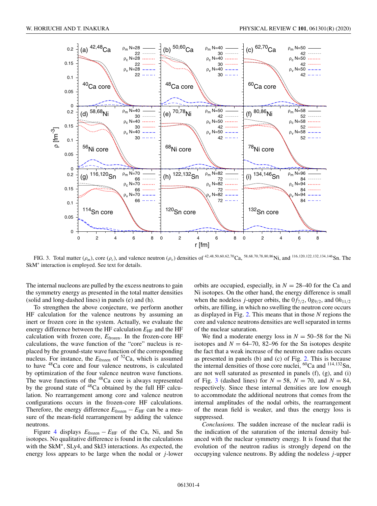<span id="page-4-0"></span>

FIG. 3. Total matter ( $\rho_m$ ), core ( $\rho_c$ ), and valence neutron ( $\rho_n$ ) densities of <sup>42,48,50,60,62,70</sup>Ca, 58,68,70,78,80,86Ni, and <sup>116,120,122,132,134,146</sup>Sn. The SkM<sup>∗</sup> interaction is employed. See text for details.

The internal nucleons are pulled by the excess neutrons to gain the symmetry energy as presented in the total matter densities (solid and long-dashed lines) in panels (e) and (h).

To strengthen the above conjecture, we perform another HF calculation for the valence neutrons by assuming an inert or frozen core in the system. Actually, we evaluate the energy difference between the HF calculation  $E_{HF}$  and the HF calculation with frozen core, *E*frozen. In the frozen-core HF calculations, the wave function of the "core" nucleus is replaced by the ground-state wave function of the corresponding nucleus. For instance, the *E*<sub>frozen</sub> of <sup>52</sup>Ca, which is assumed to have 48Ca core and four valence neutrons, is calculated by optimization of the four valence neutron wave functions. The wave functions of the <sup>48</sup>Ca core is always represented by the ground state of  $48$ Ca obtained by the full HF calculation. No rearrangement among core and valence neutron configurations occurs in the frozen-core HF calculations. Therefore, the energy difference  $E_{\text{frozen}} - E_{\text{HF}}$  can be a measure of the mean-field rearrangement by adding the valence neutrons.

Figure [4](#page-5-0) displays *E*frozen − *E*HF of the Ca, Ni, and Sn isotopes. No qualitative difference is found in the calculations with the SkM∗, SLy4, and SkI3 interactions. As expected, the energy loss appears to be large when the nodal or *j*-lower

orbits are occupied, especially, in  $N = 28-40$  for the Ca and Ni isotopes. On the other hand, the energy difference is small when the nodeless *j*-upper orbits, the  $0f_{7/2}$ ,  $0g_{9/2}$ , and  $0h_{11/2}$ orbits, are filling, in which no swelling the neutron core occurs as displayed in Fig. [2.](#page-3-0) This means that in those *N* regions the core and valence neutrons densities are well separated in terms of the nuclear saturation.

We find a moderate energy loss in  $N = 50-58$  for the Ni isotopes and  $N = 64-70$ , 82-96 for the Sn isotopes despite the fact that a weak increase of the neutron core radius occurs as presented in panels (b) and (c) of Fig. [2.](#page-3-0) This is because the internal densities of those core nuclei,  ${}^{60}Ca$  and  ${}^{114,132}Sn$ , are not well saturated as presented in panels (f), (g), and (i) of Fig. 3 (dashed lines) for  $N = 58$ ,  $N = 70$ , and  $N = 84$ , respectively. Since these internal densities are low enough to accommodate the additional neutrons that comes from the internal amplitudes of the nodal orbits, the rearrangement of the mean field is weaker, and thus the energy loss is suppressed.

*Conclusions.* The sudden increase of the nuclear radii is the indication of the saturation of the internal density balanced with the nuclear symmetry energy. It is found that the evolution of the neutron radius is strongly depend on the occupying valence neutrons. By adding the nodeless *j*-upper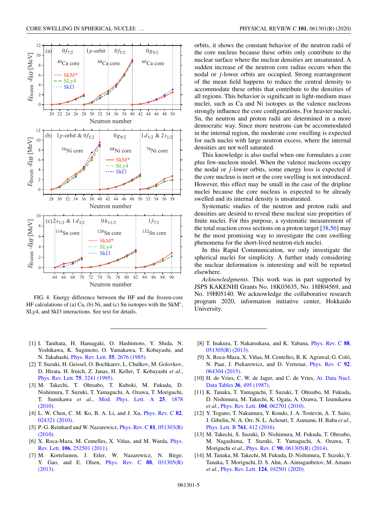<span id="page-5-0"></span>

FIG. 4. Energy difference between the HF and the frozen-core HF calculations of (a) Ca, (b) Ni, and (c) Sn isotopes with the SkM<sup>∗</sup> , SLy4, and SkI3 interactions. See text for details.

orbits, it shows the constant behavior of the neutron radii of the core nucleus because these orbits only contribute to the nuclear surface where the nuclear densities are unsaturated. A sudden increase of the neutron core radius occurs when the nodal or *j*-lower orbits are occupied. Strong rearrangement of the mean field happens to reduce the central density to accommodate these orbits that contribute to the densities of all regions. This behavior is significant in light-medium mass nuclei, such as Ca and Ni isotopes as the valence nucleons strongly influence the core configurations. For heavier nuclei, Sn, the neutron and proton radii are determined in a more democratic way. Since more neutrons can be accommodated in the internal region, the moderate core swelling is expected for such nuclei with large neutron excess, where the internal densities are not well saturated.

This knowledge is also useful when one formulates a core plus few-nucleon model. When the valence nucleons occupy the nodal or *j*-lower orbits, some energy loss is expected if the core nucleus is inert or the core swelling is not introduced. However, this effect may be small in the case of the dripline nuclei because the core nucleus is expected to be already swelled and its internal density is unsaturated.

Systematic studies of the neutron and proton radii and densities are desired to reveal these nuclear size properties of finite nuclei. For this purpose, a systematic measurement of the total reaction cross sections on a proton target [\[38,56\]](#page-6-0) may be the most promising way to investigate the core swelling phenomena for the short-lived neutron-rich nuclei.

In this Rapid Communication, we only investigate the spherical nuclei for simplicity. A further study considering the nuclear deformation is interesting and will be reported elsewhere.

*Acknowledgments.* This work was in part supported by JSPS KAKENHI Grants No. 18K03635, No. 18H04569, and No. 19H05140. We acknowledge the collaborative research program 2020, information initiative center, Hokkaido University.

- [1] I. Tanihata, H. Hamagaki, O. Hashimoto, Y. Shida, N. Yoshikawa, K. Sugimoto, O. Yamakawa, T. Kobayashi, and N. Takahashi, [Phys. Rev. Lett.](https://doi.org/10.1103/PhysRevLett.55.2676) **55**, 2676 (1985).
- [2] T. Suzuki, H. Geissel, O. Bochkarev, L. Chulkov, M. Golovkov, D. Hirata, H. Irnich, Z. Janas, H. Keller, T. Kobayashi *et al.*, [Phys. Rev. Lett.](https://doi.org/10.1103/PhysRevLett.75.3241) **75**, 3241 (1995).
- [3] M. Takechi, T. Ohtsubo, T. Kuboki, M. Fukuda, D. Nishimura, T. Suzuki, T. Yamaguchi, A. Ozawa, T. Moriguchi, T. Sumikawa *et al.*, [Mod. Phys. Lett. A](https://doi.org/10.1142/S021773231000054X) **25**, 1878 (2010).
- [4] [L. W. Chen, C. M. Ko, B. A. Li, and J. Xu,](https://doi.org/10.1103/PhysRevC.82.024321) Phys. Rev. C **82**, 024321 (2010).
- [5] [P.-G. Reinhard and W. Nazarewicz,](https://doi.org/10.1103/PhysRevC.81.051303) Phys. Rev. C **81**, 051303(R) (2010).
- [6] [X. Roca-Maza, M. Centelles, X. Viñas, and M. Warda,](https://doi.org/10.1103/PhysRevLett.106.252501) Phys. Rev. Lett. **106**, 252501 (2011).
- [7] M. Kortelainen, J. Erler, W. Nazarewicz, N. Birge, [Y. Gao, and E. Olsen,](https://doi.org/10.1103/PhysRevC.88.031305) Phys. Rev. C **88**, 031305(R) (2013).
- [8] [T. Inakura, T. Nakatsukasa, and K. Yabana,](https://doi.org/10.1103/PhysRevC.88.051305) Phys. Rev. C **88**, 051305(R) (2013).
- [9] X. Roca-Maza, X. Viñas, M. Centelles, B. K. Agrawal, G. Coló, [N. Paar, J. Piekarewicz, and D. Vretenar,](https://doi.org/10.1103/PhysRevC.92.064304) Phys. Rev. C **92**, 064304 (2015).
- [10] [H. de Vries, C. W. de Jager, and C. de Vries,](https://doi.org/10.1016/0092-640X(87)90013-1) At. Data Nucl. Data Tables **36**, 495 (1987).
- [11] K. Tanaka, T. Yamaguchi, T. Suzuki, T. Ohtsubo, M. Fukuda, D. Nishimura, M. Takechi, K. Ogata, A. Ozawa, T. Izumikawa *et al.*, Phys. Rev. Lett. **104**[, 062701 \(2010\).](https://doi.org/10.1103/PhysRevLett.104.062701)
- [12] Y. Togano, T. Nakamura, Y. Kondo, J. A. Tostevin, A. T. Saito, J. Gibelin, N. A. Orr, N. L. Achouri, T. Aumann, H. Baba *et al.*, [Phys. Lett. B](https://doi.org/10.1016/j.physletb.2016.08.062) **761**, 412 (2016).
- [13] M. Takechi, S. Suzuki, D. Nishimura, M. Fukuda, T. Ohtsubo, M. Nagashima, T. Suzuki, T. Yamaguchi, A. Ozawa, T. Moriguchi *et al.*, Phys. Rev. C **90**[, 061305\(R\) \(2014\).](https://doi.org/10.1103/PhysRevC.90.061305)
- [14] M. Tanaka, M. Takechi, M. Fukuda, D. Nishimura, T. Suzuki, Y. Tanaka, T. Moriguchi, D. S. Ahn, A. Aimaganbetov, M. Amano *et al.*, Phys. Rev. Lett. **124**[, 102501 \(2020\).](https://doi.org/10.1103/PhysRevLett.124.102501)